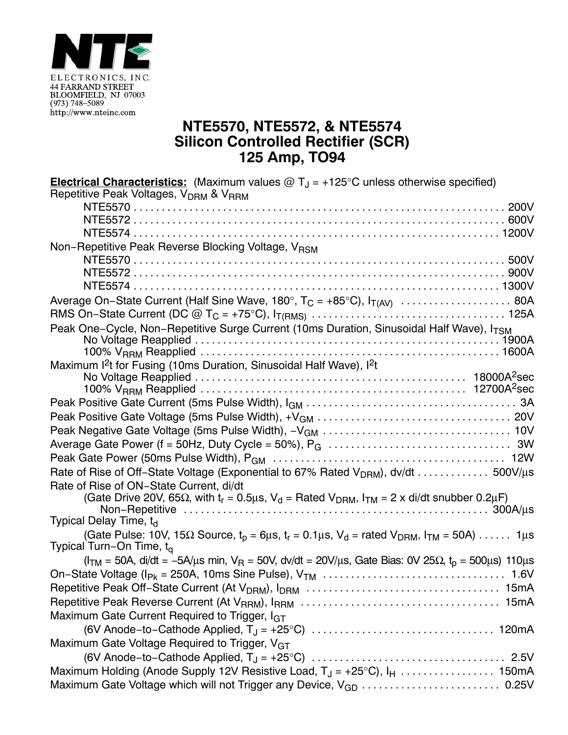

## **NTE5570, NTE5572, & NTE5574 Silicon Controlled Rectifier (SCR) 125 Amp, TO94**

| <b>Electrical Characteristics:</b> (Maximum values $\omega T_J = +125^{\circ}$ C unless otherwise specified)                                                 |
|--------------------------------------------------------------------------------------------------------------------------------------------------------------|
| Repetitive Peak Voltages, V <sub>DRM</sub> & V <sub>RRM</sub>                                                                                                |
|                                                                                                                                                              |
|                                                                                                                                                              |
|                                                                                                                                                              |
| Non-Repetitive Peak Reverse Blocking Voltage, VRSM                                                                                                           |
|                                                                                                                                                              |
|                                                                                                                                                              |
|                                                                                                                                                              |
|                                                                                                                                                              |
|                                                                                                                                                              |
| Peak One-Cycle, Non-Repetitive Surge Current (10ms Duration, Sinusoidal Half Wave), I <sub>TSM</sub>                                                         |
|                                                                                                                                                              |
|                                                                                                                                                              |
| Maximum I <sup>2</sup> t for Fusing (10ms Duration, Sinusoidal Half Wave), I <sup>2</sup> t                                                                  |
|                                                                                                                                                              |
|                                                                                                                                                              |
|                                                                                                                                                              |
|                                                                                                                                                              |
|                                                                                                                                                              |
|                                                                                                                                                              |
| Rate of Rise of Off-State Voltage (Exponential to 67% Rated V <sub>DRM</sub> ), dv/dt 500V/µs                                                                |
| Rate of Rise of ON-State Current, di/dt                                                                                                                      |
| (Gate Drive 20V, 65 $\Omega$ , with t <sub>r</sub> = 0.5 $\mu$ s, V <sub>d</sub> = Rated V <sub>DRM</sub> , I <sub>TM</sub> = 2 x di/dt snubber 0.2 $\mu$ F) |
|                                                                                                                                                              |
| Typical Delay Time, t <sub>d</sub>                                                                                                                           |
| (Gate Pulse: 10V, 15 $\Omega$ Source, $t_p = 6\mu s$ , $t_r = 0.1\mu s$ , $V_d$ = rated $V_{DRM}$ , $I_{TM} = 50A$ )  1 $\mu s$                              |
| Typical Turn-On Time, t <sub>q</sub>                                                                                                                         |
| $(I_{TM} = 50A$ , di/dt = -5A/µs min, V <sub>R</sub> = 50V, dv/dt = 20V/µs, Gate Bias: 0V 25 $\Omega$ , t <sub>o</sub> = 500µs) 110µs                        |
|                                                                                                                                                              |
|                                                                                                                                                              |
|                                                                                                                                                              |
| Maximum Gate Current Required to Trigger, I <sub>GT</sub>                                                                                                    |
|                                                                                                                                                              |
| Maximum Gate Voltage Required to Trigger, V <sub>GT</sub>                                                                                                    |
|                                                                                                                                                              |
|                                                                                                                                                              |
| Maximum Gate Voltage which will not Trigger any Device, V <sub>GD</sub> 0.25V                                                                                |